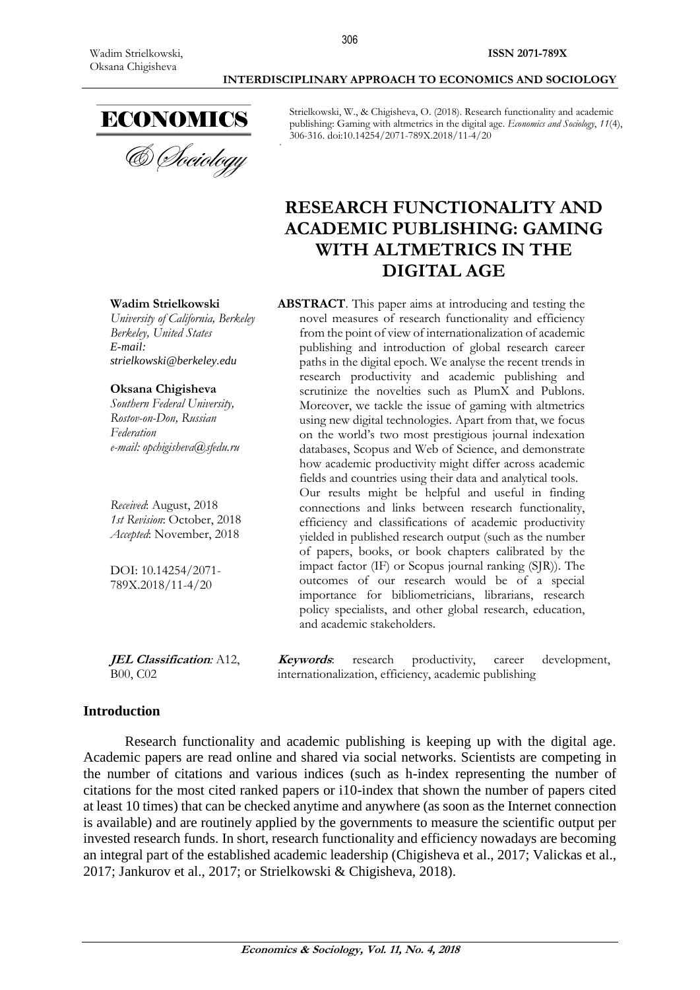& Sociology

Strielkowski, W., & Chigisheva, O. (2018). Research functionality and academic publishing: Gaming with altmetrics in the digital age. *Economics and Sociology*, *11*(4), 306-316. doi:10.14254/2071-789X.2018/11-4/20

**INTERDISCIPLINARY APPROACH TO ECONOMICS AND SOCIOLOGY**

# **RESEARCH FUNCTIONALITY AND ACADEMIC PUBLISHING: GAMING WITH ALTMETRICS IN THE DIGITAL AGE**

**ABSTRACT**. This paper aims at introducing and testing the novel measures of research functionality and efficiency from the point of view of internationalization of academic publishing and introduction of global research career paths in the digital epoch. We analyse the recent trends in research productivity and academic publishing and scrutinize the novelties such as PlumX and Publons. Moreover, we tackle the issue of gaming with altmetrics using new digital technologies. Apart from that, we focus on the world's two most prestigious journal indexation databases, Scopus and Web of Science, and demonstrate how academic productivity might differ across academic fields and countries using their data and analytical tools. Our results might be helpful and useful in finding connections and links between research functionality, efficiency and classifications of academic productivity yielded in published research output (such as the number of papers, books, or book chapters calibrated by the impact factor (IF) or Scopus journal ranking (SJR)). The outcomes of our research would be of a special importance for bibliometricians, librarians, research policy specialists, and other global research, education,

**Keywords**: research productivity, career development,

internationalization, efficiency, academic publishing

### **Wadim Strielkowski**

*University of California, Berkeley Berkeley, United States E-mail: strielkowski@berkeley.edu* 

### **Oksana Chigisheva**

*Southern Federal University, Rostov-on-Don, Russian Federation e-mail: opchigisheva@sfedu.ru* 

*Received*: August, 2018 *1st Revision*: October, 2018 *Accepted*: November, 2018

DOI: 10.14254/2071- 789X.2018/11-4/20

**JEL Classification***:* A12, B00, C02

**Introduction**

Research functionality and academic publishing is keeping up with the digital age. Academic papers are read online and shared via social networks. Scientists are competing in the number of citations and various indices (such as h-index representing the number of citations for the most cited ranked papers or i10-index that shown the number of papers cited at least 10 times) that can be checked anytime and anywhere (as soon as the Internet connection is available) and are routinely applied by the governments to measure the scientific output per invested research funds. In short, research functionality and efficiency nowadays are becoming an integral part of the established academic leadership (Chigisheva et al., 2017; Valickas et al., 2017; Jankurov et al., 2017; or Strielkowski & Chigisheva, 2018).

and academic stakeholders.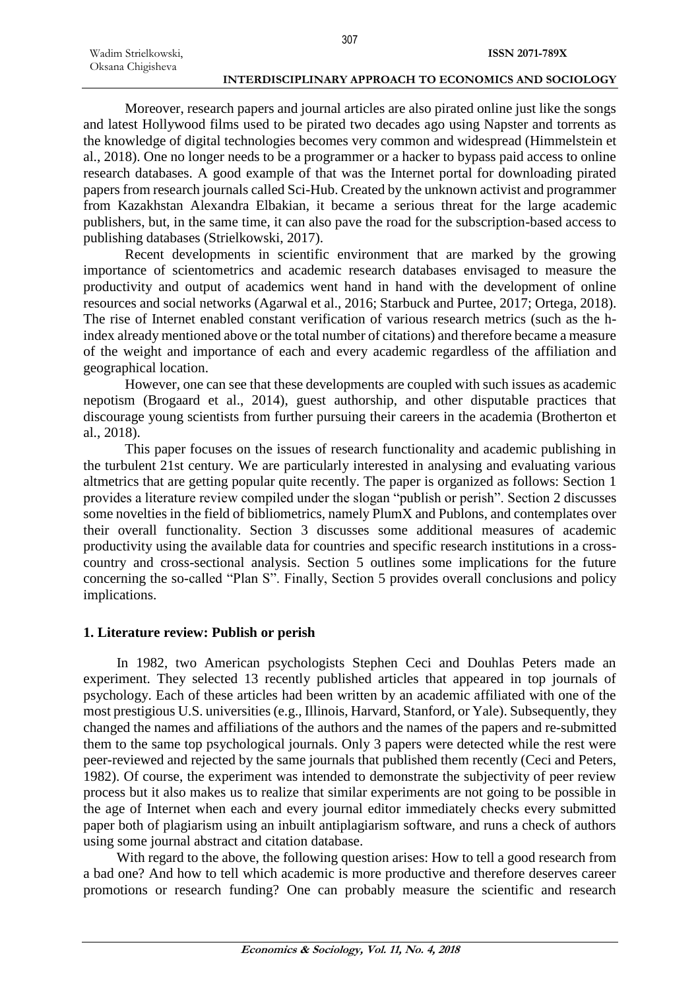Moreover, research papers and journal articles are also pirated online just like the songs and latest Hollywood films used to be pirated two decades ago using Napster and torrents as the knowledge of digital technologies becomes very common and widespread (Himmelstein et al., 2018). One no longer needs to be a programmer or a hacker to bypass paid access to online research databases. A good example of that was the Internet portal for downloading pirated papers from research journals called Sci-Hub. Created by the unknown activist and programmer from Kazakhstan Alexandra Elbakian, it became a serious threat for the large academic publishers, but, in the same time, it can also pave the road for the subscription-based access to publishing databases (Strielkowski, 2017).

Recent developments in scientific environment that are marked by the growing importance of scientometrics and academic research databases envisaged to measure the productivity and output of academics went hand in hand with the development of online resources and social networks (Agarwal et al., 2016; Starbuck and Purtee, 2017; Ortega, 2018). The rise of Internet enabled constant verification of various research metrics (such as the hindex already mentioned above or the total number of citations) and therefore became a measure of the weight and importance of each and every academic regardless of the affiliation and geographical location.

However, one can see that these developments are coupled with such issues as academic nepotism (Brogaard et al., 2014), guest authorship, and other disputable practices that discourage young scientists from further pursuing their careers in the academia (Brotherton et al., 2018).

This paper focuses on the issues of research functionality and academic publishing in the turbulent 21st century. We are particularly interested in analysing and evaluating various altmetrics that are getting popular quite recently. The paper is organized as follows: Section 1 provides a literature review compiled under the slogan "publish or perish". Section 2 discusses some novelties in the field of bibliometrics, namely PlumX and Publons, and contemplates over their overall functionality. Section 3 discusses some additional measures of academic productivity using the available data for countries and specific research institutions in a crosscountry and cross-sectional analysis. Section 5 outlines some implications for the future concerning the so-called "Plan S". Finally, Section 5 provides overall conclusions and policy implications.

### **1. Literature review: Publish or perish**

In 1982, two American psychologists Stephen Ceci and Douhlas Peters made an experiment. They selected 13 recently published articles that appeared in top journals of psychology. Each of these articles had been written by an academic affiliated with one of the most prestigious U.S. universities (e.g., Illinois, Harvard, Stanford, or Yale). Subsequently, they changed the names and affiliations of the authors and the names of the papers and re-submitted them to the same top psychological journals. Only 3 papers were detected while the rest were peer-reviewed and rejected by the same journals that published them recently (Ceci and Peters, 1982). Of course, the experiment was intended to demonstrate the subjectivity of peer review process but it also makes us to realize that similar experiments are not going to be possible in the age of Internet when each and every journal editor immediately checks every submitted paper both of plagiarism using an inbuilt antiplagiarism software, and runs a check of authors using some journal abstract and citation database.

With regard to the above, the following question arises: How to tell a good research from a bad one? And how to tell which academic is more productive and therefore deserves career promotions or research funding? One can probably measure the scientific and research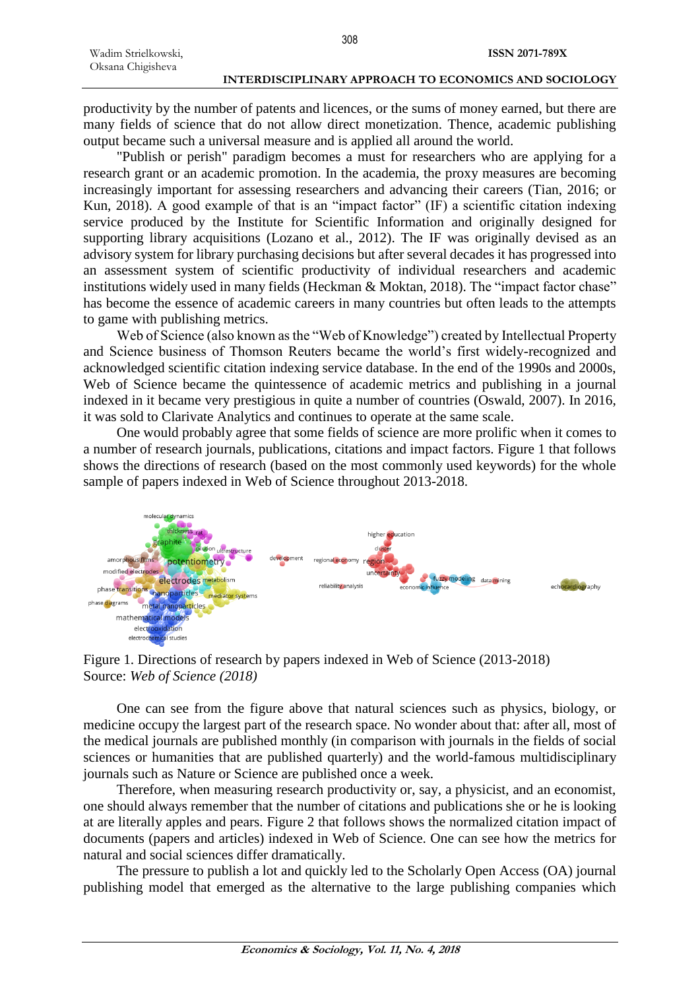productivity by the number of patents and licences, or the sums of money earned, but there are many fields of science that do not allow direct monetization. Thence, academic publishing output became such a universal measure and is applied all around the world.

"Publish or perish" paradigm becomes a must for researchers who are applying for a research grant or an academic promotion. In the academia, the proxy measures are becoming increasingly important for assessing researchers and advancing their careers (Tian, 2016; or Kun, 2018). A good example of that is an "impact factor" (IF) a scientific citation indexing service produced by the Institute for Scientific Information and originally designed for supporting library acquisitions (Lozano et al., 2012). The IF was originally devised as an advisory system for library purchasing decisions but after several decades it has progressed into an assessment system of scientific productivity of individual researchers and academic institutions widely used in many fields (Heckman & Moktan, 2018). The "impact factor chase" has become the essence of academic careers in many countries but often leads to the attempts to game with publishing metrics.

Web of Science (also known as the "Web of Knowledge") created by Intellectual Property and Science business of Thomson Reuters became the world's first widely-recognized and acknowledged scientific citation indexing service database. In the end of the 1990s and 2000s, Web of Science became the quintessence of academic metrics and publishing in a journal indexed in it became very prestigious in quite a number of countries (Oswald, 2007). In 2016, it was sold to Clarivate Analytics and continues to operate at the same scale.

One would probably agree that some fields of science are more prolific when it comes to a number of research journals, publications, citations and impact factors. Figure 1 that follows shows the directions of research (based on the most commonly used keywords) for the whole sample of papers indexed in Web of Science throughout 2013-2018.



Figure 1. Directions of research by papers indexed in Web of Science (2013-2018) Source: *Web of Science (2018)*

One can see from the figure above that natural sciences such as physics, biology, or medicine occupy the largest part of the research space. No wonder about that: after all, most of the medical journals are published monthly (in comparison with journals in the fields of social sciences or humanities that are published quarterly) and the world-famous multidisciplinary journals such as Nature or Science are published once a week.

Therefore, when measuring research productivity or, say, a physicist, and an economist, one should always remember that the number of citations and publications she or he is looking at are literally apples and pears. Figure 2 that follows shows the normalized citation impact of documents (papers and articles) indexed in Web of Science. One can see how the metrics for natural and social sciences differ dramatically.

The pressure to publish a lot and quickly led to the Scholarly Open Access (OA) journal publishing model that emerged as the alternative to the large publishing companies which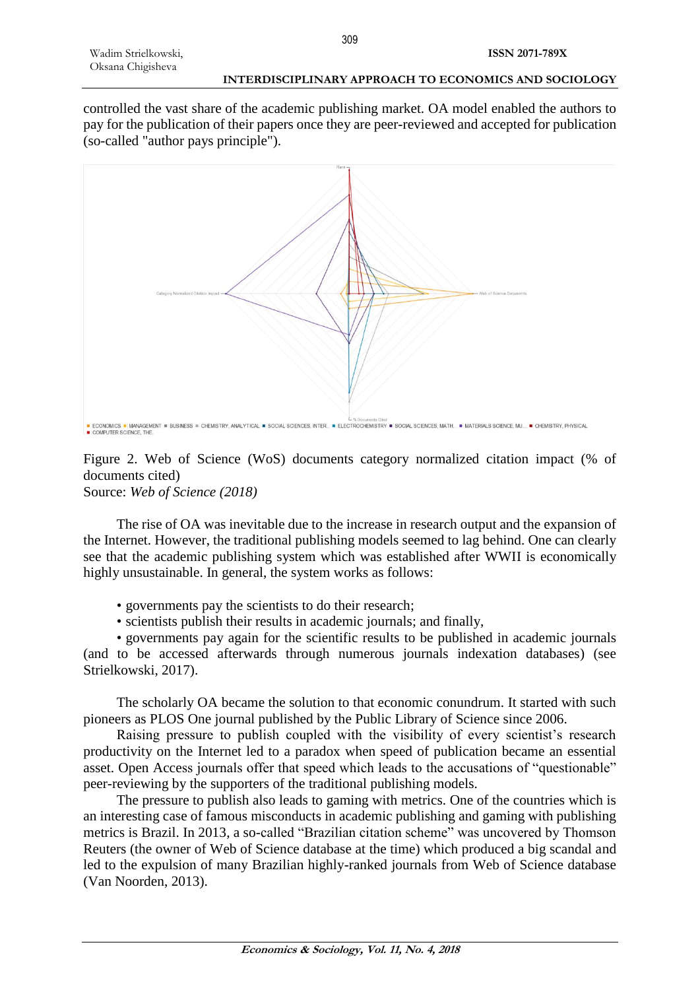controlled the vast share of the academic publishing market. OA model enabled the authors to pay for the publication of their papers once they are peer-reviewed and accepted for publication (so-called "author pays principle").



# Figure 2. Web of Science (WoS) documents category normalized citation impact (% of documents cited) Source: *Web of Science (2018)*

The rise of OA was inevitable due to the increase in research output and the expansion of the Internet. However, the traditional publishing models seemed to lag behind. One can clearly see that the academic publishing system which was established after WWII is economically highly unsustainable. In general, the system works as follows:

- governments pay the scientists to do their research;
- scientists publish their results in academic journals; and finally,

• governments pay again for the scientific results to be published in academic journals (and to be accessed afterwards through numerous journals indexation databases) (see Strielkowski, 2017).

The scholarly OA became the solution to that economic conundrum. It started with such pioneers as PLOS One journal published by the Public Library of Science since 2006.

Raising pressure to publish coupled with the visibility of every scientist's research productivity on the Internet led to a paradox when speed of publication became an essential asset. Open Access journals offer that speed which leads to the accusations of "questionable" peer-reviewing by the supporters of the traditional publishing models.

The pressure to publish also leads to gaming with metrics. One of the countries which is an interesting case of famous misconducts in academic publishing and gaming with publishing metrics is Brazil. In 2013, a so-called "Brazilian citation scheme" was uncovered by Thomson Reuters (the owner of Web of Science database at the time) which produced a big scandal and led to the expulsion of many Brazilian highly-ranked journals from Web of Science database (Van Noorden, 2013).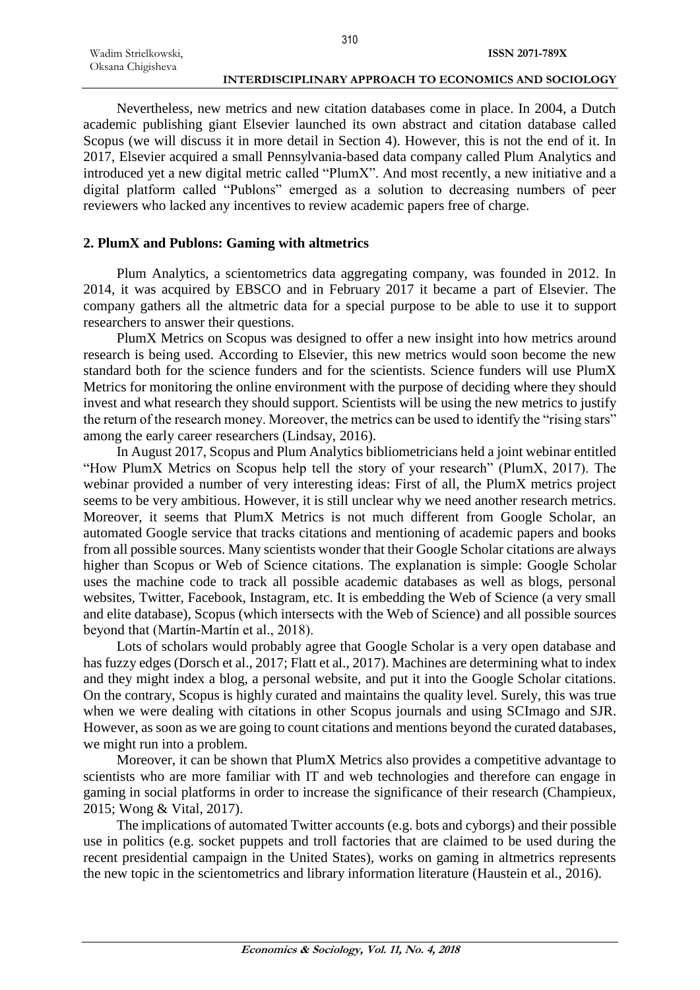Nevertheless, new metrics and new citation databases come in place. In 2004, a Dutch academic publishing giant Elsevier launched its own abstract and citation database called Scopus (we will discuss it in more detail in Section 4). However, this is not the end of it. In 2017, Elsevier acquired a small Pennsylvania-based data company called Plum Analytics and introduced yet a new digital metric called "PlumX". And most recently, a new initiative and a digital platform called "Publons" emerged as a solution to decreasing numbers of peer reviewers who lacked any incentives to review academic papers free of charge.

# **2. PlumX and Publons: Gaming with altmetrics**

Plum Analytics, a scientometrics data aggregating company, was founded in 2012. In 2014, it was acquired by EBSCO and in February 2017 it became a part of Elsevier. The company gathers all the altmetric data for a special purpose to be able to use it to support researchers to answer their questions.

PlumX Metrics on Scopus was designed to offer a new insight into how metrics around research is being used. According to Elsevier, this new metrics would soon become the new standard both for the science funders and for the scientists. Science funders will use PlumX Metrics for monitoring the online environment with the purpose of deciding where they should invest and what research they should support. Scientists will be using the new metrics to justify the return of the research money. Moreover, the metrics can be used to identify the "rising stars" among the early career researchers (Lindsay, 2016).

In August 2017, Scopus and Plum Analytics bibliometricians held a joint webinar entitled "How PlumX Metrics on Scopus help tell the story of your research" (PlumX, 2017). The webinar provided a number of very interesting ideas: First of all, the PlumX metrics project seems to be very ambitious. However, it is still unclear why we need another research metrics. Moreover, it seems that PlumX Metrics is not much different from Google Scholar, an automated Google service that tracks citations and mentioning of academic papers and books from all possible sources. Many scientists wonder that their Google Scholar citations are always higher than Scopus or Web of Science citations. The explanation is simple: Google Scholar uses the machine code to track all possible academic databases as well as blogs, personal websites, Twitter, Facebook, Instagram, etc. It is embedding the Web of Science (a very small and elite database), Scopus (which intersects with the Web of Science) and all possible sources beyond that (Martín-Martín et al., 2018).

Lots of scholars would probably agree that Google Scholar is a very open database and has fuzzy edges (Dorsch et al., 2017; Flatt et al., 2017). Machines are determining what to index and they might index a blog, a personal website, and put it into the Google Scholar citations. On the contrary, Scopus is highly curated and maintains the quality level. Surely, this was true when we were dealing with citations in other Scopus journals and using SCImago and SJR. However, as soon as we are going to count citations and mentions beyond the curated databases, we might run into a problem.

Moreover, it can be shown that PlumX Metrics also provides a competitive advantage to scientists who are more familiar with IT and web technologies and therefore can engage in gaming in social platforms in order to increase the significance of their research (Champieux, 2015; Wong & Vital, 2017).

The implications of automated Twitter accounts (e.g. bots and cyborgs) and their possible use in politics (e.g. socket puppets and troll factories that are claimed to be used during the recent presidential campaign in the United States), works on gaming in altmetrics represents the new topic in the scientometrics and library information literature (Haustein et al., 2016).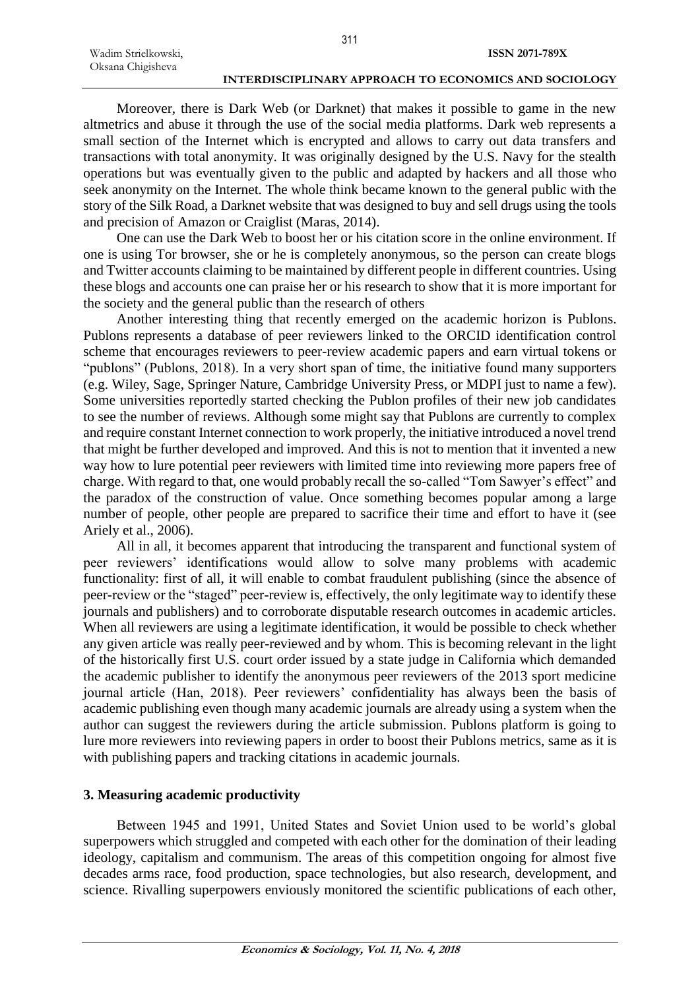Moreover, there is Dark Web (or Darknet) that makes it possible to game in the new altmetrics and abuse it through the use of the social media platforms. Dark web represents a small section of the Internet which is encrypted and allows to carry out data transfers and transactions with total anonymity. It was originally designed by the U.S. Navy for the stealth operations but was eventually given to the public and adapted by hackers and all those who seek anonymity on the Internet. The whole think became known to the general public with the story of the Silk Road, a Darknet website that was designed to buy and sell drugs using the tools and precision of Amazon or Craiglist (Maras, 2014).

One can use the Dark Web to boost her or his citation score in the online environment. If one is using Tor browser, she or he is completely anonymous, so the person can create blogs and Twitter accounts claiming to be maintained by different people in different countries. Using these blogs and accounts one can praise her or his research to show that it is more important for the society and the general public than the research of others

Another interesting thing that recently emerged on the academic horizon is Publons. Publons represents a database of peer reviewers linked to the ORCID identification control scheme that encourages reviewers to peer-review academic papers and earn virtual tokens or "publons" (Publons, 2018). In a very short span of time, the initiative found many supporters (e.g. Wiley, Sage, Springer Nature, Cambridge University Press, or MDPI just to name a few). Some universities reportedly started checking the Publon profiles of their new job candidates to see the number of reviews. Although some might say that Publons are currently to complex and require constant Internet connection to work properly, the initiative introduced a novel trend that might be further developed and improved. And this is not to mention that it invented a new way how to lure potential peer reviewers with limited time into reviewing more papers free of charge. With regard to that, one would probably recall the so-called "Tom Sawyer's effect" and the paradox of the construction of value. Once something becomes popular among a large number of people, other people are prepared to sacrifice their time and effort to have it (see Ariely et al., 2006).

All in all, it becomes apparent that introducing the transparent and functional system of peer reviewers' identifications would allow to solve many problems with academic functionality: first of all, it will enable to combat fraudulent publishing (since the absence of peer-review or the "staged" peer-review is, effectively, the only legitimate way to identify these journals and publishers) and to corroborate disputable research outcomes in academic articles. When all reviewers are using a legitimate identification, it would be possible to check whether any given article was really peer-reviewed and by whom. This is becoming relevant in the light of the historically first U.S. court order issued by a state judge in California which demanded the academic publisher to identify the anonymous peer reviewers of the 2013 sport medicine journal article (Han, 2018). Peer reviewers' confidentiality has always been the basis of academic publishing even though many academic journals are already using a system when the author can suggest the reviewers during the article submission. Publons platform is going to lure more reviewers into reviewing papers in order to boost their Publons metrics, same as it is with publishing papers and tracking citations in academic journals.

### **3. Measuring academic productivity**

Between 1945 and 1991, United States and Soviet Union used to be world's global superpowers which struggled and competed with each other for the domination of their leading ideology, capitalism and communism. The areas of this competition ongoing for almost five decades arms race, food production, space technologies, but also research, development, and science. Rivalling superpowers enviously monitored the scientific publications of each other,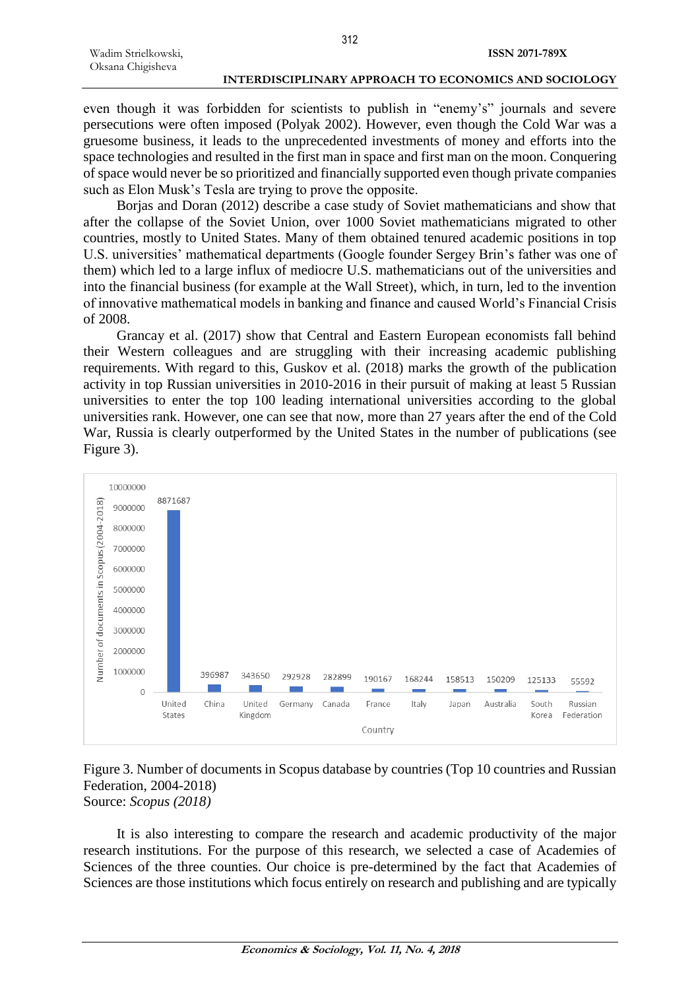even though it was forbidden for scientists to publish in "enemy's" journals and severe persecutions were often imposed (Polyak 2002). However, even though the Cold War was a gruesome business, it leads to the unprecedented investments of money and efforts into the space technologies and resulted in the first man in space and first man on the moon. Conquering of space would never be so prioritized and financially supported even though private companies such as Elon Musk's Tesla are trying to prove the opposite.

Borjas and Doran (2012) describe a case study of Soviet mathematicians and show that after the collapse of the Soviet Union, over 1000 Soviet mathematicians migrated to other countries, mostly to United States. Many of them obtained tenured academic positions in top U.S. universities' mathematical departments (Google founder Sergey Brin's father was one of them) which led to a large influx of mediocre U.S. mathematicians out of the universities and into the financial business (for example at the Wall Street), which, in turn, led to the invention of innovative mathematical models in banking and finance and caused World's Financial Crisis of 2008.

Grancay et al. (2017) show that Central and Eastern European economists fall behind their Western colleagues and are struggling with their increasing academic publishing requirements. With regard to this, Guskov et al. (2018) marks the growth of the publication activity in top Russian universities in 2010-2016 in their pursuit of making at least 5 Russian universities to enter the top 100 leading international universities according to the global universities rank. However, one can see that now, more than 27 years after the end of the Cold War, Russia is clearly outperformed by the United States in the number of publications (see Figure 3).



# Figure 3. Number of documents in Scopus database by countries (Top 10 countries and Russian Federation, 2004-2018) Source: *Scopus (2018)*

It is also interesting to compare the research and academic productivity of the major research institutions. For the purpose of this research, we selected a case of Academies of Sciences of the three counties. Our choice is pre-determined by the fact that Academies of Sciences are those institutions which focus entirely on research and publishing and are typically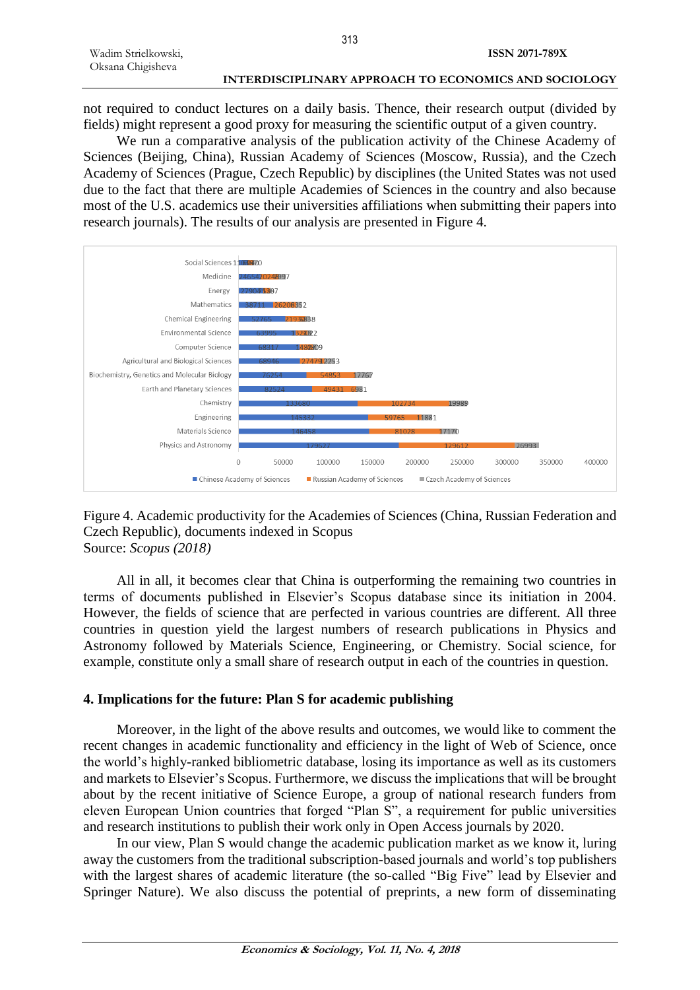|                     | 313 |                                                       |
|---------------------|-----|-------------------------------------------------------|
| Wadim Strielkowski, |     | ISSN 2071-789X                                        |
| Oksana Chigisheva   |     |                                                       |
|                     |     | INTERDISCIPLINARY APPROACH TO ECONOMICS AND SOCIOLOGY |

not required to conduct lectures on a daily basis. Thence, their research output (divided by fields) might represent a good proxy for measuring the scientific output of a given country.

We run a comparative analysis of the publication activity of the Chinese Academy of Sciences (Beijing, China), Russian Academy of Sciences (Moscow, Russia), and the Czech Academy of Sciences (Prague, Czech Republic) by disciplines (the United States was not used due to the fact that there are multiple Academies of Sciences in the country and also because most of the U.S. academics use their universities affiliations when submitting their papers into research journals). The results of our analysis are presented in Figure 4.



Figure 4. Academic productivity for the Academies of Sciences (China, Russian Federation and Czech Republic), documents indexed in Scopus Source: *Scopus (2018)*

All in all, it becomes clear that China is outperforming the remaining two countries in terms of documents published in Elsevier's Scopus database since its initiation in 2004. However, the fields of science that are perfected in various countries are different. All three countries in question yield the largest numbers of research publications in Physics and Astronomy followed by Materials Science, Engineering, or Chemistry. Social science, for example, constitute only a small share of research output in each of the countries in question.

# **4. Implications for the future: Plan S for academic publishing**

Moreover, in the light of the above results and outcomes, we would like to comment the recent changes in academic functionality and efficiency in the light of Web of Science, once the world's highly-ranked bibliometric database, losing its importance as well as its customers and markets to Elsevier's Scopus. Furthermore, we discuss the implications that will be brought about by the recent initiative of Science Europe, a group of national research funders from eleven European Union countries that forged "Plan S", a requirement for public universities and research institutions to publish their work only in Open Access journals by 2020.

In our view, Plan S would change the academic publication market as we know it, luring away the customers from the traditional subscription-based journals and world's top publishers with the largest shares of academic literature (the so-called "Big Five" lead by Elsevier and Springer Nature). We also discuss the potential of preprints, a new form of disseminating

**Economics & Sociology, Vol. 11, No. 4, 2018**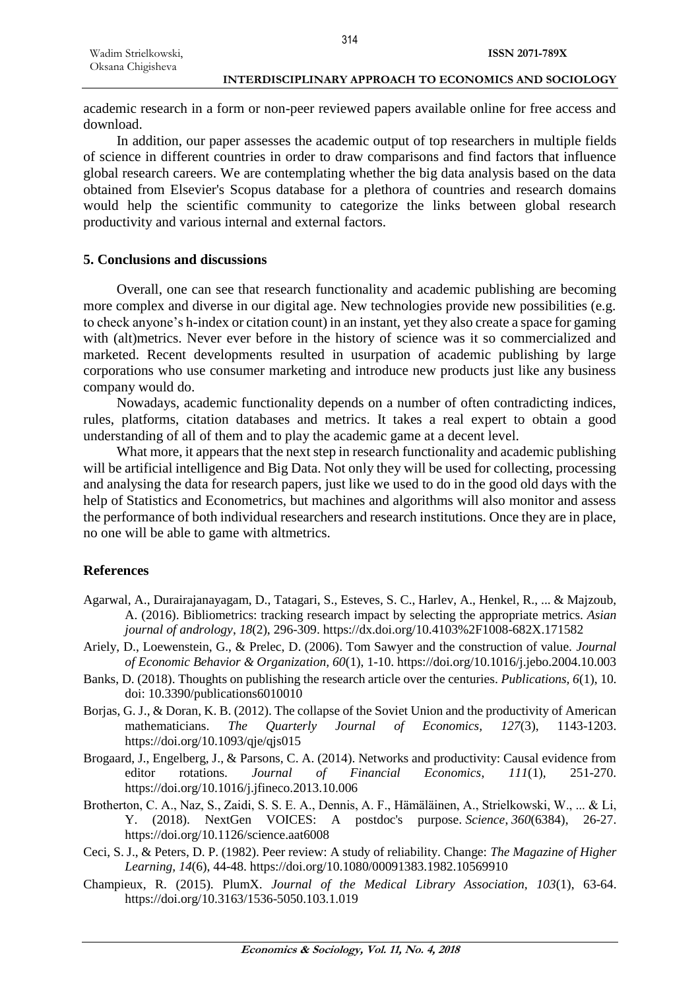academic research in a form or non-peer reviewed papers available online for free access and download.

In addition, our paper assesses the academic output of top researchers in multiple fields of science in different countries in order to draw comparisons and find factors that influence global research careers. We are contemplating whether the big data analysis based on the data obtained from Elsevier's Scopus database for a plethora of countries and research domains would help the scientific community to categorize the links between global research productivity and various internal and external factors.

# **5. Conclusions and discussions**

Overall, one can see that research functionality and academic publishing are becoming more complex and diverse in our digital age. New technologies provide new possibilities (e.g. to check anyone's h-index or citation count) in an instant, yet they also create a space for gaming with (alt)metrics. Never ever before in the history of science was it so commercialized and marketed. Recent developments resulted in usurpation of academic publishing by large corporations who use consumer marketing and introduce new products just like any business company would do.

Nowadays, academic functionality depends on a number of often contradicting indices, rules, platforms, citation databases and metrics. It takes a real expert to obtain a good understanding of all of them and to play the academic game at a decent level.

What more, it appears that the next step in research functionality and academic publishing will be artificial intelligence and Big Data. Not only they will be used for collecting, processing and analysing the data for research papers, just like we used to do in the good old days with the help of Statistics and Econometrics, but machines and algorithms will also monitor and assess the performance of both individual researchers and research institutions. Once they are in place, no one will be able to game with altmetrics.

# **References**

- Agarwal, A., Durairajanayagam, D., Tatagari, S., Esteves, S. C., Harlev, A., Henkel, R., ... & Majzoub, A. (2016). Bibliometrics: tracking research impact by selecting the appropriate metrics. *Asian journal of andrology*, *18*(2), 296-309. https://dx.doi.org/10.4103%2F1008-682X.171582
- Ariely, D., Loewenstein, G., & Prelec, D. (2006). Tom Sawyer and the construction of value. *Journal of Economic Behavior & Organization, 60*(1), 1-10. https://doi.org/10.1016/j.jebo.2004.10.003
- Banks, D. (2018). Thoughts on publishing the research article over the centuries. *Publications, 6*(1), 10. doi: 10.3390/publications6010010
- Borjas, G. J., & Doran, K. B. (2012). The collapse of the Soviet Union and the productivity of American mathematicians. *The Quarterly Journal of Economics, 127*(3), 1143-1203. https://doi.org/10.1093/qje/qjs015
- Brogaard, J., Engelberg, J., & Parsons, C. A. (2014). Networks and productivity: Causal evidence from editor rotations. *Journal of Financial Economics*, *111*(1), 251-270. https://doi.org/10.1016/j.jfineco.2013.10.006
- Brotherton, C. A., Naz, S., Zaidi, S. S. E. A., Dennis, A. F., Hämäläinen, A., Strielkowski, W., ... & Li, Y. (2018). NextGen VOICES: A postdoc's purpose. *Science*, *360*(6384), 26-27. https://doi.org/10.1126/science.aat6008
- Ceci, S. J., & Peters, D. P. (1982). Peer review: A study of reliability. Change: *The Magazine of Higher Learning, 14*(6), 44-48. https://doi.org/10.1080/00091383.1982.10569910
- Champieux, R. (2015). PlumX. *Journal of the Medical Library Association, 103*(1), 63-64. https://doi.org/10.3163/1536-5050.103.1.019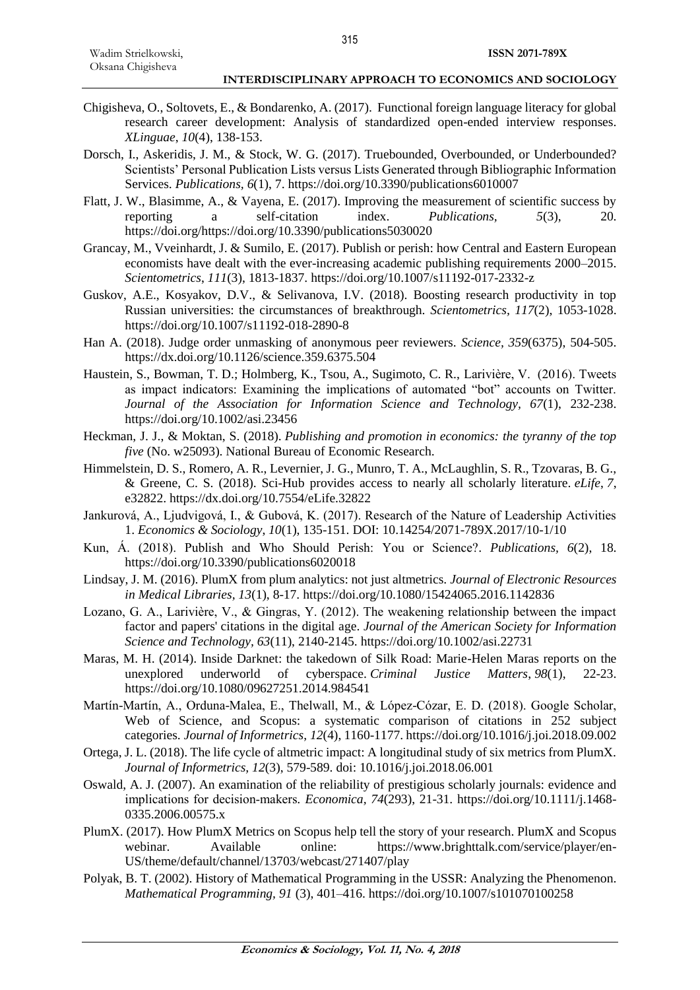- Chigisheva, O., Soltovets, E., & Bondarenko, A. (2017). Functional foreign language literacy for global research career development: Analysis of standardized open-ended interview responses. *XLinguae*, *10*(4), 138-153.
- Dorsch, I., Askeridis, J. M., & Stock, W. G. (2017). Truebounded, Overbounded, or Underbounded? Scientists' Personal Publication Lists versus Lists Generated through Bibliographic Information Services. *Publications, 6*(1), 7. https://doi.org/10.3390/publications6010007
- Flatt, J. W., Blasimme, A., & Vayena, E. (2017). Improving the measurement of scientific success by reporting a self-citation index. *Publications, 5*(3), 20. https://doi.org/https://doi.org/10.3390/publications5030020
- Grancay, M., Vveinhardt, J. & Sumilo, E. (2017). Publish or perish: how Central and Eastern European economists have dealt with the ever-increasing academic publishing requirements 2000–2015. *Scientometrics*, *111*(3), 1813-1837. https://doi.org/10.1007/s11192-017-2332-z
- Guskov, A.E., Kosyakov, D.V., & Selivanova, I.V. (2018). Boosting research productivity in top Russian universities: the circumstances of breakthrough. *Scientometrics, 117*(2), 1053-1028. https://doi.org/10.1007/s11192-018-2890-8
- Han A. (2018). Judge order unmasking of anonymous peer reviewers. *Science, 359*(6375), 504-505. https://dx.doi.org/10.1126/science.359.6375.504
- Haustein, S., Bowman, T. D.; Holmberg, K., Tsou, A., Sugimoto, C. R., Larivière, V. (2016). Tweets as impact indicators: Examining the implications of automated "bot" accounts on Twitter. *Journal of the Association for Information Science and Technology, 67*(1), 232-238. https://doi.org/10.1002/asi.23456
- Heckman, J. J., & Moktan, S. (2018). *Publishing and promotion in economics: the tyranny of the top five* (No. w25093). National Bureau of Economic Research.
- Himmelstein, D. S., Romero, A. R., Levernier, J. G., Munro, T. A., McLaughlin, S. R., Tzovaras, B. G., & Greene, C. S. (2018). Sci-Hub provides access to nearly all scholarly literature. *eLife*, *7*, e32822. https://dx.doi.org/10.7554/eLife.32822
- Jankurová, A., Ljudvigová, I., & Gubová, K. (2017). Research of the Nature of Leadership Activities 1. *Economics & Sociology*, *10*(1), 135-151. DOI: 10.14254/2071-789X.2017/10-1/10
- Kun, Á. (2018). Publish and Who Should Perish: You or Science?. *Publications, 6*(2), 18. https://doi.org/10.3390/publications6020018
- Lindsay, J. M. (2016). PlumX from plum analytics: not just altmetrics. *Journal of Electronic Resources in Medical Libraries, 13*(1), 8-17. https://doi.org/10.1080/15424065.2016.1142836
- Lozano, G. A., Larivière, V., & Gingras, Y. (2012). The weakening relationship between the impact factor and papers' citations in the digital age. *Journal of the American Society for Information Science and Technology, 63*(11), 2140-2145. https://doi.org/10.1002/asi.22731
- Maras, M. H. (2014). Inside Darknet: the takedown of Silk Road: Marie-Helen Maras reports on the unexplored underworld of cyberspace. *Criminal Justice Matters*, *98*(1), 22-23. https://doi.org/10.1080/09627251.2014.984541
- Martín-Martín, A., Orduna-Malea, E., Thelwall, M., & López-Cózar, E. D. (2018). Google Scholar, Web of Science, and Scopus: a systematic comparison of citations in 252 subject categories. *Journal of Informetrics*, *12*(4), 1160-1177. https://doi.org/10.1016/j.joi.2018.09.002
- Ortega, J. L. (2018). The life cycle of altmetric impact: A longitudinal study of six metrics from PlumX. *Journal of Informetrics, 12*(3), 579-589. doi: 10.1016/j.joi.2018.06.001
- Oswald, A. J. (2007). An examination of the reliability of prestigious scholarly journals: evidence and implications for decision‐makers*. Economica, 74*(293), 21-31. https://doi.org/10.1111/j.1468- 0335.2006.00575.x
- PlumX. (2017). How PlumX Metrics on Scopus help tell the story of your research. PlumX and Scopus webinar. Available online: https://www.brighttalk.com/service/player/en-US/theme/default/channel/13703/webcast/271407/play
- Polyak, B. T. (2002). History of Mathematical Programming in the USSR: Analyzing the Phenomenon. *Mathematical Programming, 91* (3), 401–416. https://doi.org/10.1007/s101070100258